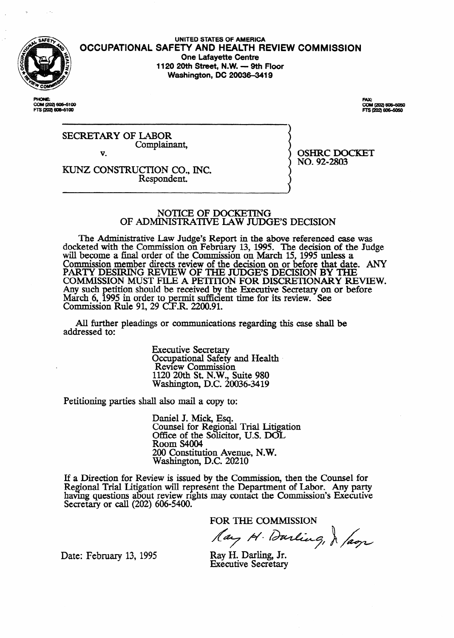

UNITED STATES OF AMERICA **OCCUPATIONAL SAFETY AND HEALTH REVIEW COMMISSION One Lafayette Centre 1120 20th Street, N.W. - 9th Floor Washington, DC 20036-3419** 

COM (202) 606-6100 FTS (202) 606-6100

FAX:<br>COM (202) 606–5050 \$ (202) 606-5050

SECRETARY OF LABOR Complainant, v.

OSHRC DOCKET NO. 92-2803

**KUNZ** CONSTRUCIION CO., INC. Respondent.

#### NOTICE OF DOCKETING **OF ADMINISTRATIVE LAW JUDGE'S DECISION**

The Administrative Law Judge's Report in the above referenced case was docketed with the Commission on February 13, 1995. The decision of the Judge will become a final order of the Commission on March 15, 1995 unless a Commission member directs review of the decision on or before that date. ANY PARTY DESIRING REVIEW OF THE JUDGE'S DECISION BY THE COMMISSION MUST FILE A PETITION FOR DISCRETIONARY REVIEW. Any such March  $6, 1995$  in order to etition should be received by the Executive Secretary on or before ermit sufficlent time for its review. See Commission Rule 91, 29 C.F.R. 2200.91.

All further pleadings or communications regarding this case shalI be addressed to:

> Executive Secretary Occupational Safety and Health. Review Commission 1120 20th St. N.W., Suite 980 Washington, D.C. 20036-3419

Petitioning parties shall also mail a copy to:

Daniel J. Mick, Esq. Counsel for Regional Trial Litigation Office of the Solicitor, U.S. DOL Room S4004 200 Constitution Avenue, N.W. Washington, D.C. 20210

If a Direction for Review is issued by the Commission, then the Counsel for Regional Trial Iitigation will represent the Department of Labor. Any party having questions about review nghts may contact the Commission's Executive Secretary or call (202) 606-5400.

FOR THE COMMISSION<br>Lay H. Durling, J *Jam* 

Date: February 13, 1995 Ray H. Darling, Jr.

Executive Secretary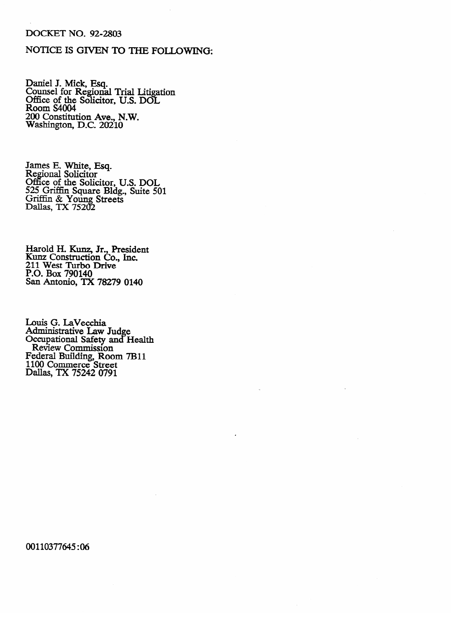## **DOCKET NO. 92-2803**

# NOTICE IS GIVEN TO THE FOLLOWING:

Daniel J. Mick, Esq.<br>Counsel for Regional Trial Litigation<br>Office of the Solicitor, U.S. DOL<br>Room S4004 200 Constitution Ave., N.W.<br>Washington, D.C. 20210

James E. White, Esq.<br>Regional Solicitor<br>Office of the Solicitor, U.S. DOL<br>525 Griffin Square Bldg., Suite 501<br>Griffin & Young Streets<br>Dallas, TX 75202

Harold H. Kunz, Jr., President<br>Kunz Construction Co., Inc.<br>211 West Turbo Drive<br>P.O. Box 790140 San Antonio, TX 78279 0140

Louis G. LaVecchia<br>Administrative Law Judge<br>Occupational Safety and Health<br>Review Commission<br>Federal Building, Room 7B11<br>1100 Commerce Street<br>Dallas, TX 75242 0791

00110377645:06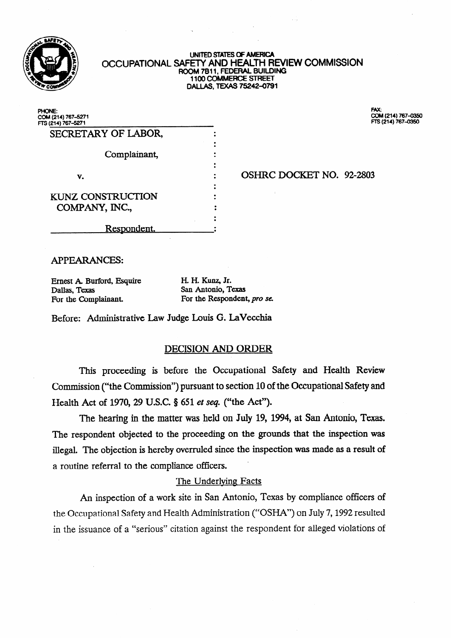

#### **UNITED** STATES **OF AMERICA OCCUPATIONAL SAFETY AND HEALTH REVIEW COMMISSION ROOM 7811, FEDERAL BUILDING 1100 COMMERCE STREET DALLAS, TEXAS 75242-0791**

| PHONE:<br>COM (214) 767-5271<br>FTS (214) 767-5271 | FAX:<br>COM (214) 767-035<br>FTS (214) 767-0350 |
|----------------------------------------------------|-------------------------------------------------|
| SECRETARY OF LABOR,                                |                                                 |
| Complainant,                                       |                                                 |
| v.                                                 | OSHRC DOCKET NO. 92-2803                        |
| <b>KUNZ CONSTRUCTION</b><br>COMPANY, INC.,         |                                                 |
| Respondent.                                        |                                                 |

**COM (214) 767-0350**<br>FTS (214) 767-0350

# APPEARANCES:

Ernest A. Burford, Esquire H. H. Kunz, Jr. Dallas, Texas San Antonio, Texas<br>For the Complainant. For the Respondent

For the Respondent, pro se.

Before: Administrative Law Judge Louis G. **LaVecchia** 

# DECISION AND ORDER

This proceeding is before the Occupational Safety and Health Review Commission ("the Commission") pursuant to section 10 of the Occupational Safety and Health Act of 1970, 29 U.S.C. § 651 et seq. ("the Act").

The hearing in the matter was held on July 19, 1994, **at San** Antonio, Texas. The respondent objected to the proceeding on the grounds that the inspection was illegal. The objection is hereby overruled since the inspection was made as a result of a routine referral to the compliance officers. .

# The Underlving Facts

An inspection of a work site in San Antonio, Texas by compliance officers of the Occupational Safety and Health Administration ("OSHA") on July 7,1992 resulted in the issuance of a "serious" citation against the respondent for alleged violations of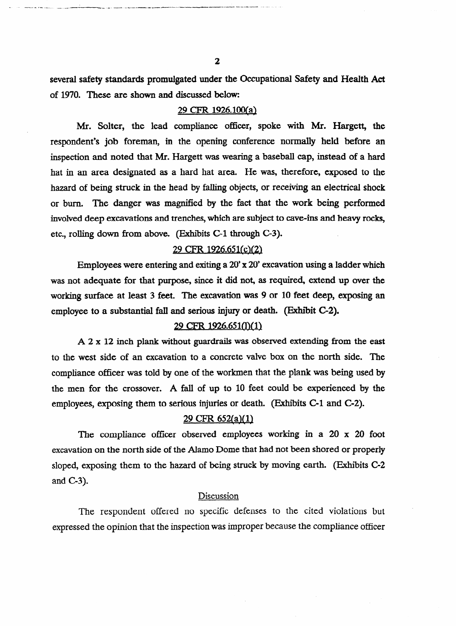**several safety standards promulgated under the Occupational Safety and Health Act**  of 1970. These are **shown and** discussed below:

#### **29 CFR 1926.lWal**

**Mr. Solter, the lead compliance officer,** spoke with Mr. **Hargett, the**  respondent's **job foreman, in the** opening conference **normally held before an**  inspection and noted that Mr. **Hargett** was wearing a baseball **cap, instead of** a hard hat in an area designated as a hard hat area. He was, therefore, exposed to the hazard of being struck in the head by falling objects, or receiving an electrical **shock**  or burn. The **danger** was magnified by the fact that the work being **performed**  involved deep excavations and trenches, which are subject to cave-ins and heavy **rocks,**  etc., rolling down from above. (Exhibits C-l through C-3).

## 29 CFR 1926.651(c)(2)

**Employees were entering and** exiting a **20' x 20' excavation using a ladder which was not adequate for** that purpose, since **it** did not, as required, **exfend** up over the working surface at least 3 feet. The excavation was 9 or 10 feet deep, exposing an employee **to a substantial fall and serious injury or death. (Exhibit C-2).** 

## 29 CFR 1926.651(l)(1)

A 2 x 12 inch plank without guardrails was observed extending from the east to the west side of an excavation to a concrete valve box on the north side. The compliance officer was told by one of the workmen that the plank was being used by the men for the crossover. A fall of up to 10 feet could be experienced by the employees, exposing them to serious injuries or death. (Exhibits C-1 and C-2).

# employees, exposing them to serious injuries or death. **(Exhibits C-l** and C-2).

The compliance officer observed employees working in a 20 x 20 foot excavation on the north side of the Alamo Dome that had not been shored or properly sloped, exposing them to the hazard of being struck by moving earth. (Exhibits C-2  $\mathbf{E}$ sing them to the hazard of  $\mathbf{E}$ 

#### Discussion

The respondent offered no specific defenses to the cited violations but expressed the opinion that the inspection was improper because the compliance officer

- .- .a---- h c w- .\_ .\_ \_ ---\_. ------ -.\_ \_. .-- \_- ---. -\_Lee-\_I----..----- --.--.v L--d- .--..... \_